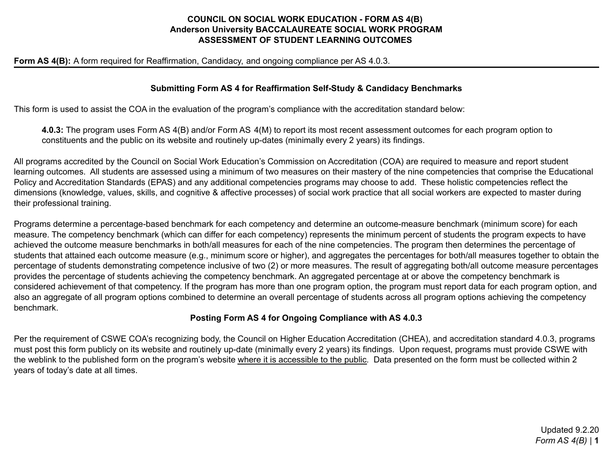## **COUNCIL ON SOCIAL WORK EDUCATION - FORM AS 4(B) Anderson University BACCALAUREATE SOCIAL WORK PROGRAM ASSESSMENT OF STUDENT LEARNING OUTCOMES**

#### **Form AS 4(B):** A form required for Reaffirmation, Candidacy, and ongoing compliance per AS 4.0.3.

#### **Submitting Form AS 4 for Reaffirmation Self-Study & Candidacy Benchmarks**

This form is used to assist the COA in the evaluation of the program's compliance with the accreditation standard below:

**4.0.3:** The program uses Form AS 4(B) and/or Form AS 4(M) to report its most recent assessment outcomes for each program option to constituents and the public on its website and routinely up-dates (minimally every 2 years) its findings.

All programs accredited by the Council on Social Work Education's Commission on Accreditation (COA) are required to measure and report student learning outcomes. All students are assessed using a minimum of two measures on their mastery of the nine competencies that comprise the Educational Policy and Accreditation Standards (EPAS) and any additional competencies programs may choose to add. These holistic competencies reflect the dimensions (knowledge, values, skills, and cognitive & affective processes) of social work practice that all social workers are expected to master during their professional training.

Programs determine a percentage-based benchmark for each competency and determine an outcome-measure benchmark (minimum score) for each measure. The competency benchmark (which can differ for each competency) represents the minimum percent of students the program expects to have achieved the outcome measure benchmarks in both/all measures for each of the nine competencies. The program then determines the percentage of students that attained each outcome measure (e.g., minimum score or higher), and aggregates the percentages for both/all measures together to obtain the percentage of students demonstrating competence inclusive of two (2) or more measures. The result of aggregating both/all outcome measure percentages provides the percentage of students achieving the competency benchmark. An aggregated percentage at or above the competency benchmark is considered achievement of that competency. If the program has more than one program option, the program must report data for each program option, and also an aggregate of all program options combined to determine an overall percentage of students across all program options achieving the competency benchmark.

### **Posting Form AS 4 for Ongoing Compliance with AS 4.0.3**

Per the requirement of CSWE COA's recognizing body, the Council on Higher Education Accreditation (CHEA), and accreditation standard 4.0.3, programs must post this form publicly on its website and routinely up-date (minimally every 2 years) its findings. Upon request, programs must provide CSWE with the weblink to the published form on the program's website where it is accessible to the public. Data presented on the form must be collected within 2 years of today's date at all times.

> Updated 9.2.20 *Form AS 4(B)* | **1**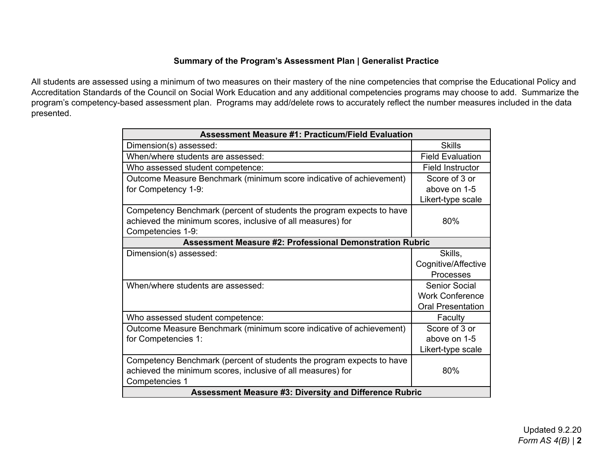# **Summary of the Program's Assessment Plan | Generalist Practice**

All students are assessed using a minimum of two measures on their mastery of the nine competencies that comprise the Educational Policy and Accreditation Standards of the Council on Social Work Education and any additional competencies programs may choose to add. Summarize the program's competency-based assessment plan. Programs may add/delete rows to accurately reflect the number measures included in the data presented.

| <b>Assessment Measure #1: Practicum/Field Evaluation</b>              |                          |  |
|-----------------------------------------------------------------------|--------------------------|--|
| Dimension(s) assessed:                                                | <b>Skills</b>            |  |
| When/where students are assessed:                                     | <b>Field Evaluation</b>  |  |
| Who assessed student competence:                                      | <b>Field Instructor</b>  |  |
| Outcome Measure Benchmark (minimum score indicative of achievement)   | Score of 3 or            |  |
| for Competency 1-9:                                                   | above on 1-5             |  |
|                                                                       | Likert-type scale        |  |
| Competency Benchmark (percent of students the program expects to have |                          |  |
| achieved the minimum scores, inclusive of all measures) for           | 80%                      |  |
| Competencies 1-9:                                                     |                          |  |
| <b>Assessment Measure #2: Professional Demonstration Rubric</b>       |                          |  |
| Dimension(s) assessed:                                                | Skills,                  |  |
|                                                                       | Cognitive/Affective      |  |
|                                                                       | Processes                |  |
| When/where students are assessed:                                     | Senior Social            |  |
|                                                                       | <b>Work Conference</b>   |  |
|                                                                       | <b>Oral Presentation</b> |  |
| Who assessed student competence:                                      | Faculty                  |  |
| Outcome Measure Benchmark (minimum score indicative of achievement)   | Score of 3 or            |  |
| for Competencies 1:                                                   | above on 1-5             |  |
|                                                                       | Likert-type scale        |  |
| Competency Benchmark (percent of students the program expects to have |                          |  |
| achieved the minimum scores, inclusive of all measures) for           | 80%                      |  |
| Competencies 1                                                        |                          |  |
| <b>Assessment Measure #3: Diversity and Difference Rubric</b>         |                          |  |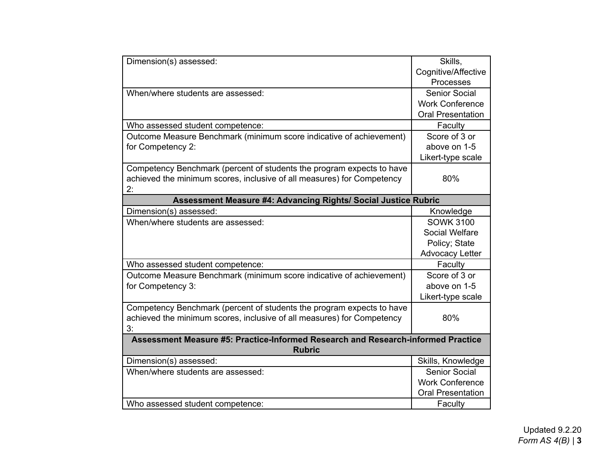| Dimension(s) assessed:                                                           | Skills.                  |  |
|----------------------------------------------------------------------------------|--------------------------|--|
|                                                                                  | Cognitive/Affective      |  |
|                                                                                  | Processes                |  |
| When/where students are assessed:                                                | <b>Senior Social</b>     |  |
|                                                                                  | <b>Work Conference</b>   |  |
|                                                                                  | <b>Oral Presentation</b> |  |
| Who assessed student competence:                                                 | Faculty                  |  |
| Outcome Measure Benchmark (minimum score indicative of achievement)              | Score of 3 or            |  |
| for Competency 2:                                                                | above on 1-5             |  |
|                                                                                  | Likert-type scale        |  |
| Competency Benchmark (percent of students the program expects to have            |                          |  |
| achieved the minimum scores, inclusive of all measures) for Competency           | 80%                      |  |
| 2:                                                                               |                          |  |
| Assessment Measure #4: Advancing Rights/ Social Justice Rubric                   |                          |  |
| Dimension(s) assessed:                                                           | Knowledge                |  |
| When/where students are assessed:                                                | <b>SOWK 3100</b>         |  |
|                                                                                  | Social Welfare           |  |
|                                                                                  | Policy; State            |  |
|                                                                                  | <b>Advocacy Letter</b>   |  |
| Who assessed student competence:                                                 | Faculty                  |  |
| Outcome Measure Benchmark (minimum score indicative of achievement)              | Score of 3 or            |  |
| for Competency 3:                                                                | above on 1-5             |  |
|                                                                                  | Likert-type scale        |  |
| Competency Benchmark (percent of students the program expects to have            |                          |  |
| achieved the minimum scores, inclusive of all measures) for Competency           | 80%                      |  |
| 3:                                                                               |                          |  |
| Assessment Measure #5: Practice-Informed Research and Research-informed Practice |                          |  |
| <b>Rubric</b>                                                                    |                          |  |
| Dimension(s) assessed:                                                           | Skills, Knowledge        |  |
| When/where students are assessed:                                                | <b>Senior Social</b>     |  |
|                                                                                  | <b>Work Conference</b>   |  |
|                                                                                  | <b>Oral Presentation</b> |  |
| Who assessed student competence:                                                 | Faculty                  |  |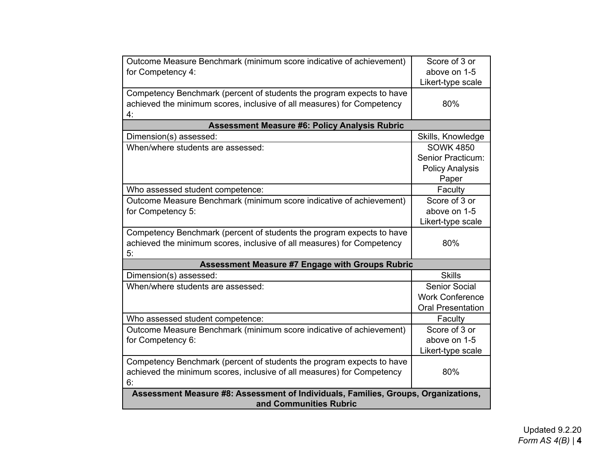| Outcome Measure Benchmark (minimum score indicative of achievement)                | Score of 3 or            |  |
|------------------------------------------------------------------------------------|--------------------------|--|
| for Competency 4:                                                                  | above on 1-5             |  |
|                                                                                    | Likert-type scale        |  |
| Competency Benchmark (percent of students the program expects to have              |                          |  |
| achieved the minimum scores, inclusive of all measures) for Competency             | 80%                      |  |
| 4.                                                                                 |                          |  |
| <b>Assessment Measure #6: Policy Analysis Rubric</b>                               |                          |  |
| Dimension(s) assessed:                                                             | Skills, Knowledge        |  |
| When/where students are assessed:                                                  | <b>SOWK 4850</b>         |  |
|                                                                                    | Senior Practicum:        |  |
|                                                                                    | <b>Policy Analysis</b>   |  |
|                                                                                    | Paper                    |  |
| Who assessed student competence:                                                   | Faculty                  |  |
| Outcome Measure Benchmark (minimum score indicative of achievement)                | Score of 3 or            |  |
| for Competency 5:                                                                  | above on 1-5             |  |
|                                                                                    | Likert-type scale        |  |
| Competency Benchmark (percent of students the program expects to have              |                          |  |
| achieved the minimum scores, inclusive of all measures) for Competency             | 80%                      |  |
| 5:                                                                                 |                          |  |
| <b>Assessment Measure #7 Engage with Groups Rubric</b>                             |                          |  |
| Dimension(s) assessed:                                                             | <b>Skills</b>            |  |
| When/where students are assessed:                                                  | <b>Senior Social</b>     |  |
|                                                                                    | <b>Work Conference</b>   |  |
|                                                                                    | <b>Oral Presentation</b> |  |
| Who assessed student competence:                                                   | Faculty                  |  |
| Outcome Measure Benchmark (minimum score indicative of achievement)                | Score of 3 or            |  |
| for Competency 6:                                                                  | above on 1-5             |  |
|                                                                                    | Likert-type scale        |  |
| Competency Benchmark (percent of students the program expects to have              |                          |  |
| achieved the minimum scores, inclusive of all measures) for Competency             | 80%                      |  |
| 6:                                                                                 |                          |  |
| Assessment Measure #8: Assessment of Individuals, Families, Groups, Organizations, |                          |  |
| and Communities Rubric                                                             |                          |  |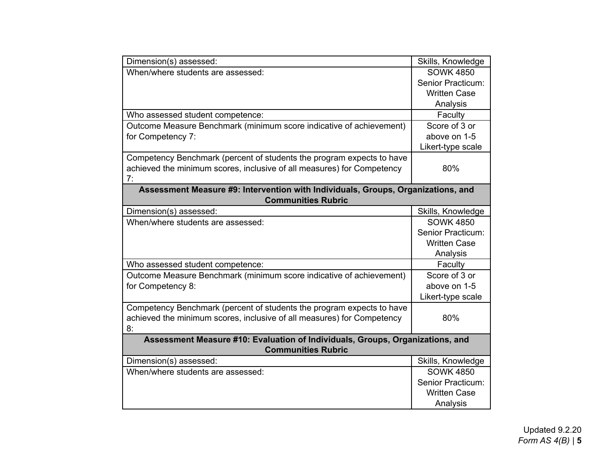| Dimension(s) assessed:                                                                                     | Skills, Knowledge                     |  |
|------------------------------------------------------------------------------------------------------------|---------------------------------------|--|
| When/where students are assessed:                                                                          | <b>SOWK 4850</b>                      |  |
|                                                                                                            | Senior Practicum:                     |  |
|                                                                                                            | <b>Written Case</b>                   |  |
|                                                                                                            | Analysis                              |  |
| Who assessed student competence:                                                                           | Faculty                               |  |
| Outcome Measure Benchmark (minimum score indicative of achievement)                                        | Score of 3 or                         |  |
| for Competency 7:                                                                                          | above on 1-5                          |  |
|                                                                                                            | Likert-type scale                     |  |
| Competency Benchmark (percent of students the program expects to have                                      |                                       |  |
| achieved the minimum scores, inclusive of all measures) for Competency                                     | 80%                                   |  |
| 7:                                                                                                         |                                       |  |
| Assessment Measure #9: Intervention with Individuals, Groups, Organizations, and                           |                                       |  |
| <b>Communities Rubric</b>                                                                                  |                                       |  |
| Dimension(s) assessed:                                                                                     | Skills, Knowledge                     |  |
| When/where students are assessed:                                                                          | <b>SOWK 4850</b>                      |  |
|                                                                                                            | Senior Practicum:                     |  |
|                                                                                                            | <b>Written Case</b>                   |  |
|                                                                                                            | Analysis                              |  |
| Who assessed student competence:                                                                           | Faculty                               |  |
| Outcome Measure Benchmark (minimum score indicative of achievement)                                        | Score of 3 or                         |  |
| for Competency 8:                                                                                          | above on 1-5                          |  |
|                                                                                                            | Likert-type scale                     |  |
| Competency Benchmark (percent of students the program expects to have                                      |                                       |  |
| achieved the minimum scores, inclusive of all measures) for Competency                                     | 80%                                   |  |
| 8:                                                                                                         |                                       |  |
| Assessment Measure #10: Evaluation of Individuals, Groups, Organizations, and<br><b>Communities Rubric</b> |                                       |  |
|                                                                                                            |                                       |  |
| Dimension(s) assessed:<br>When/where students are assessed:                                                | Skills, Knowledge<br><b>SOWK 4850</b> |  |
|                                                                                                            | Senior Practicum:                     |  |
|                                                                                                            | <b>Written Case</b>                   |  |
|                                                                                                            |                                       |  |
|                                                                                                            | Analysis                              |  |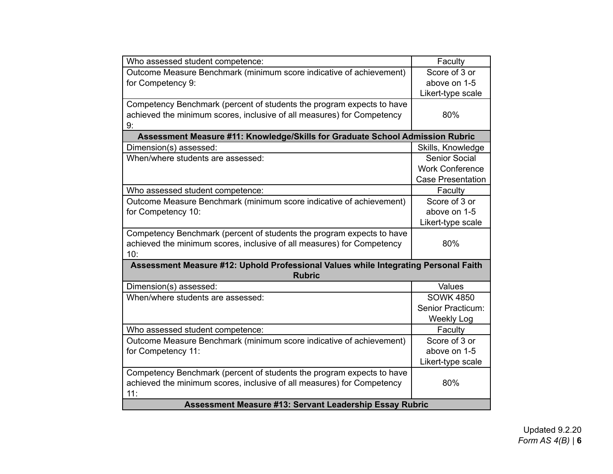| Who assessed student competence:                                                    | Faculty                  |  |
|-------------------------------------------------------------------------------------|--------------------------|--|
| Outcome Measure Benchmark (minimum score indicative of achievement)                 | Score of 3 or            |  |
|                                                                                     |                          |  |
| for Competency 9:                                                                   | above on 1-5             |  |
|                                                                                     | Likert-type scale        |  |
| Competency Benchmark (percent of students the program expects to have               |                          |  |
| achieved the minimum scores, inclusive of all measures) for Competency              | 80%                      |  |
| 9:                                                                                  |                          |  |
| Assessment Measure #11: Knowledge/Skills for Graduate School Admission Rubric       |                          |  |
| Dimension(s) assessed:                                                              | Skills, Knowledge        |  |
| When/where students are assessed:                                                   | <b>Senior Social</b>     |  |
|                                                                                     | <b>Work Conference</b>   |  |
|                                                                                     | <b>Case Presentation</b> |  |
| Who assessed student competence:                                                    | Faculty                  |  |
| Outcome Measure Benchmark (minimum score indicative of achievement)                 | Score of 3 or            |  |
| for Competency 10:                                                                  | above on 1-5             |  |
|                                                                                     | Likert-type scale        |  |
| Competency Benchmark (percent of students the program expects to have               |                          |  |
| achieved the minimum scores, inclusive of all measures) for Competency              | 80%                      |  |
| 10:                                                                                 |                          |  |
| Assessment Measure #12: Uphold Professional Values while Integrating Personal Faith |                          |  |
| <b>Rubric</b>                                                                       |                          |  |
| Dimension(s) assessed:                                                              | Values                   |  |
| When/where students are assessed:                                                   | <b>SOWK 4850</b>         |  |
|                                                                                     | Senior Practicum:        |  |
|                                                                                     | <b>Weekly Log</b>        |  |
| Who assessed student competence:                                                    | Faculty                  |  |
| Outcome Measure Benchmark (minimum score indicative of achievement)                 | Score of 3 or            |  |
| for Competency 11:                                                                  | above on 1-5             |  |
|                                                                                     | Likert-type scale        |  |
| Competency Benchmark (percent of students the program expects to have               |                          |  |
| achieved the minimum scores, inclusive of all measures) for Competency              | 80%                      |  |
| 11:                                                                                 |                          |  |
| <b>Assessment Measure #13: Servant Leadership Essay Rubric</b>                      |                          |  |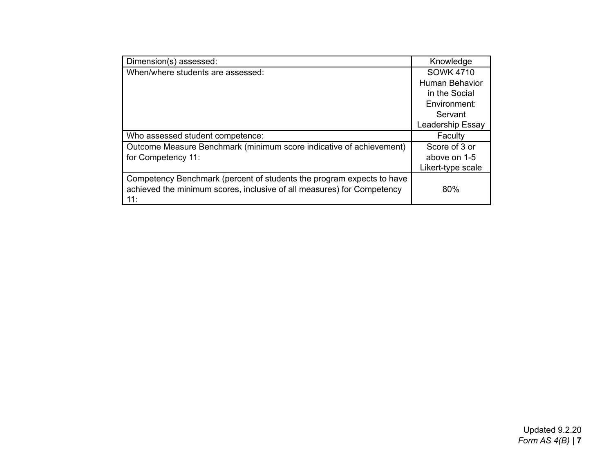| Dimension(s) assessed:                                                 | Knowledge             |
|------------------------------------------------------------------------|-----------------------|
| When/where students are assessed:                                      | <b>SOWK 4710</b>      |
|                                                                        | <b>Human Behavior</b> |
|                                                                        | in the Social         |
|                                                                        | Environment:          |
|                                                                        | Servant               |
|                                                                        | Leadership Essay      |
| Who assessed student competence:                                       | Faculty               |
| Outcome Measure Benchmark (minimum score indicative of achievement)    | Score of 3 or         |
| for Competency 11:                                                     | above on 1-5          |
|                                                                        | Likert-type scale     |
| Competency Benchmark (percent of students the program expects to have  |                       |
| achieved the minimum scores, inclusive of all measures) for Competency | 80%                   |
| 11:                                                                    |                       |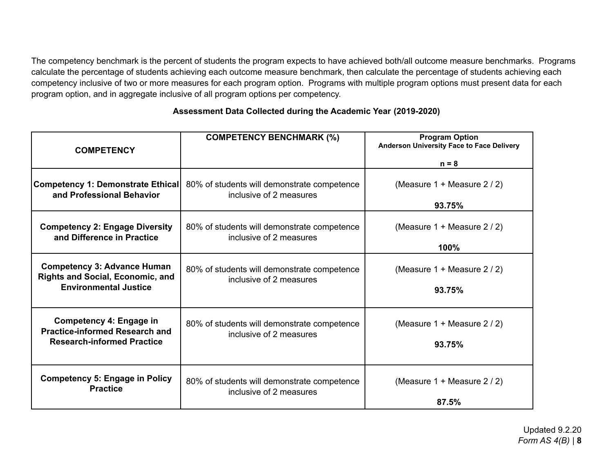The competency benchmark is the percent of students the program expects to have achieved both/all outcome measure benchmarks. Programs calculate the percentage of students achieving each outcome measure benchmark, then calculate the percentage of students achieving each competency inclusive of two or more measures for each program option. Programs with multiple program options must present data for each program option, and in aggregate inclusive of all program options per competency.

| <b>COMPETENCY</b>                                                                                             | <b>COMPETENCY BENCHMARK (%)</b>                                        | <b>Program Option</b><br>Anderson University Face to Face Delivery |
|---------------------------------------------------------------------------------------------------------------|------------------------------------------------------------------------|--------------------------------------------------------------------|
|                                                                                                               |                                                                        | $n = 8$                                                            |
| Competency 1: Demonstrate Ethical<br>and Professional Behavior                                                | 80% of students will demonstrate competence<br>inclusive of 2 measures | (Measure $1 +$ Measure $2 / 2$ )<br>93.75%                         |
| <b>Competency 2: Engage Diversity</b><br>and Difference in Practice                                           | 80% of students will demonstrate competence<br>inclusive of 2 measures | (Measure $1 +$ Measure $2 / 2$ )<br>100%                           |
| <b>Competency 3: Advance Human</b><br><b>Rights and Social, Economic, and</b><br><b>Environmental Justice</b> | 80% of students will demonstrate competence<br>inclusive of 2 measures | (Measure $1 +$ Measure $2 / 2$ )<br>93.75%                         |
| Competency 4: Engage in<br><b>Practice-informed Research and</b><br><b>Research-informed Practice</b>         | 80% of students will demonstrate competence<br>inclusive of 2 measures | (Measure 1 + Measure 2 / 2)<br>93.75%                              |
| <b>Competency 5: Engage in Policy</b><br><b>Practice</b>                                                      | 80% of students will demonstrate competence<br>inclusive of 2 measures | (Measure 1 + Measure 2 / 2)<br>87.5%                               |

## **Assessment Data Collected during the Academic Year (2019-2020)**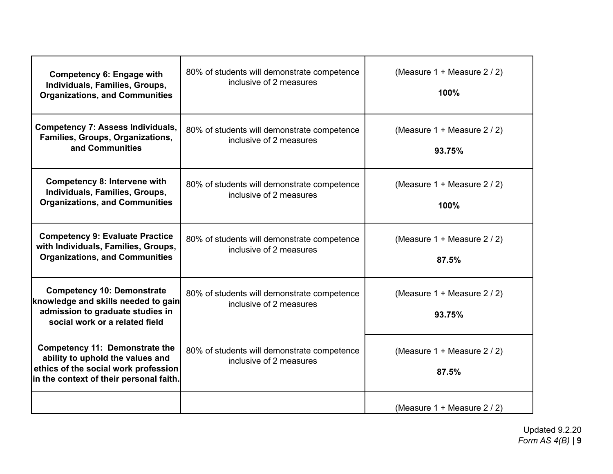| <b>Competency 6: Engage with</b><br>Individuals, Families, Groups,<br><b>Organizations, and Communities</b>                                                  | 80% of students will demonstrate competence<br>inclusive of 2 measures | (Measure 1 + Measure 2 / 2)<br>100%        |
|--------------------------------------------------------------------------------------------------------------------------------------------------------------|------------------------------------------------------------------------|--------------------------------------------|
| <b>Competency 7: Assess Individuals,</b><br>Families, Groups, Organizations,<br>and Communities                                                              | 80% of students will demonstrate competence<br>inclusive of 2 measures | (Measure $1 +$ Measure $2 / 2$ )<br>93.75% |
| <b>Competency 8: Intervene with</b><br>Individuals, Families, Groups,<br><b>Organizations, and Communities</b>                                               | 80% of students will demonstrate competence<br>inclusive of 2 measures | (Measure 1 + Measure 2 / 2)<br>100%        |
| <b>Competency 9: Evaluate Practice</b><br>with Individuals, Families, Groups,<br><b>Organizations, and Communities</b>                                       | 80% of students will demonstrate competence<br>inclusive of 2 measures | (Measure 1 + Measure 2 / 2)<br>87.5%       |
| <b>Competency 10: Demonstrate</b><br>knowledge and skills needed to gain<br>admission to graduate studies in<br>social work or a related field               | 80% of students will demonstrate competence<br>inclusive of 2 measures | (Measure $1 +$ Measure $2 / 2$ )<br>93.75% |
| <b>Competency 11: Demonstrate the</b><br>ability to uphold the values and<br>ethics of the social work profession<br>in the context of their personal faith. | 80% of students will demonstrate competence<br>inclusive of 2 measures | (Measure 1 + Measure 2 / 2)<br>87.5%       |
|                                                                                                                                                              |                                                                        | (Measure $1 +$ Measure $2 / 2$ )           |